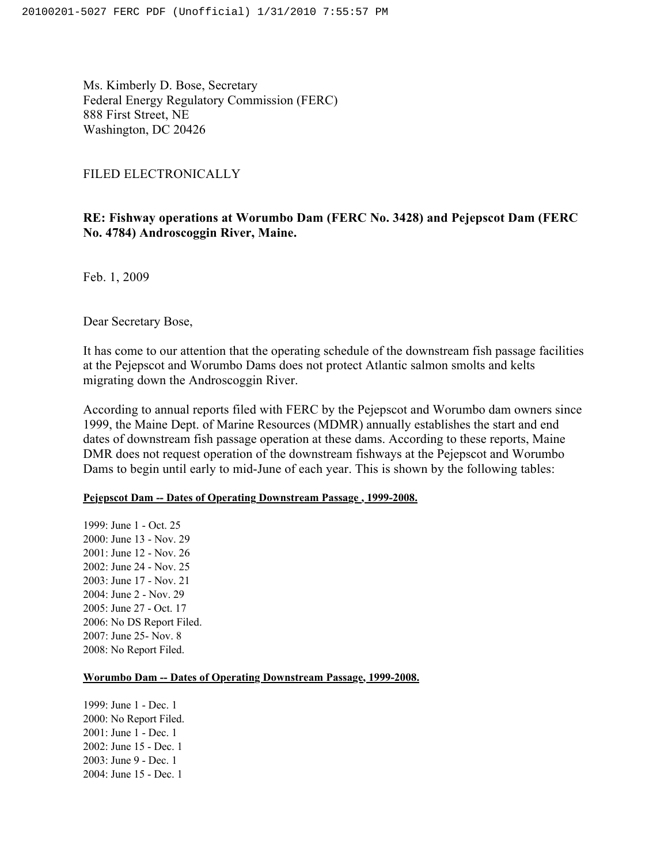Ms. Kimberly D. Bose, Secretary Federal Energy Regulatory Commission (FERC) 888 First Street, NE Washington, DC 20426

### FILED ELECTRONICALLY

# **RE: Fishway operations at Worumbo Dam (FERC No. 3428) and Pejepscot Dam (FERC No. 4784) Androscoggin River, Maine.**

Feb. 1, 2009

Dear Secretary Bose,

It has come to our attention that the operating schedule of the downstream fish passage facilities at the Pejepscot and Worumbo Dams does not protect Atlantic salmon smolts and kelts migrating down the Androscoggin River.

According to annual reports filed with FERC by the Pejepscot and Worumbo dam owners since 1999, the Maine Dept. of Marine Resources (MDMR) annually establishes the start and end dates of downstream fish passage operation at these dams. According to these reports, Maine DMR does not request operation of the downstream fishways at the Pejepscot and Worumbo Dams to begin until early to mid-June of each year. This is shown by the following tables:

## **Pejepscot Dam -- Dates of Operating Downstream Passage , 1999-2008.**

1999: June 1 - Oct. 25 2000: June 13 - Nov. 29 2001: June 12 - Nov. 26 2002: June 24 - Nov. 25 2003: June 17 - Nov. 21 2004: June 2 - Nov. 29 2005: June 27 - Oct. 17 2006: No DS Report Filed. 2007: June 25- Nov. 8 2008: No Report Filed.

### **Worumbo Dam -- Dates of Operating Downstream Passage, 1999-2008.**

1999: June 1 - Dec. 1 2000: No Report Filed. 2001: June 1 - Dec. 1 2002: June 15 - Dec. 1 2003: June 9 - Dec. 1 2004: June 15 - Dec. 1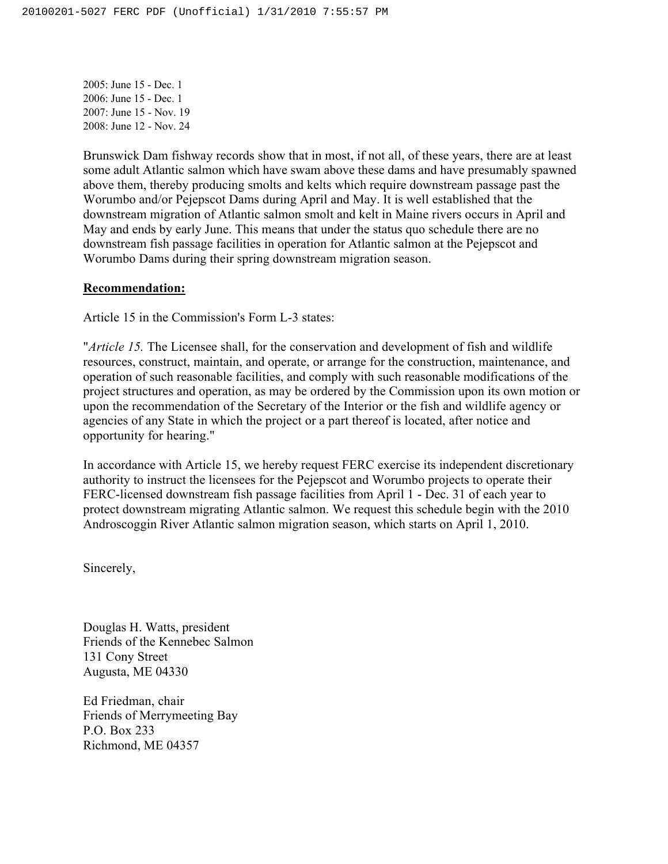2005: June 15 - Dec. 1 2006: June 15 - Dec. 1 2007: June 15 - Nov. 19 2008: June 12 - Nov. 24

Brunswick Dam fishway records show that in most, if not all, of these years, there are at least some adult Atlantic salmon which have swam above these dams and have presumably spawned above them, thereby producing smolts and kelts which require downstream passage past the Worumbo and/or Pejepscot Dams during April and May. It is well established that the downstream migration of Atlantic salmon smolt and kelt in Maine rivers occurs in April and May and ends by early June. This means that under the status quo schedule there are no downstream fish passage facilities in operation for Atlantic salmon at the Pejepscot and Worumbo Dams during their spring downstream migration season.

### **Recommendation:**

Article 15 in the Commission's Form L-3 states:

"*Article 15.* The Licensee shall, for the conservation and development of fish and wildlife resources, construct, maintain, and operate, or arrange for the construction, maintenance, and operation of such reasonable facilities, and comply with such reasonable modifications of the project structures and operation, as may be ordered by the Commission upon its own motion or upon the recommendation of the Secretary of the Interior or the fish and wildlife agency or agencies of any State in which the project or a part thereof is located, after notice and opportunity for hearing."

In accordance with Article 15, we hereby request FERC exercise its independent discretionary authority to instruct the licensees for the Pejepscot and Worumbo projects to operate their FERC-licensed downstream fish passage facilities from April 1 - Dec. 31 of each year to protect downstream migrating Atlantic salmon. We request this schedule begin with the 2010 Androscoggin River Atlantic salmon migration season, which starts on April 1, 2010.

Sincerely,

Douglas H. Watts, president Friends of the Kennebec Salmon 131 Cony Street Augusta, ME 04330

Ed Friedman, chair Friends of Merrymeeting Bay P.O. Box 233 Richmond, ME 04357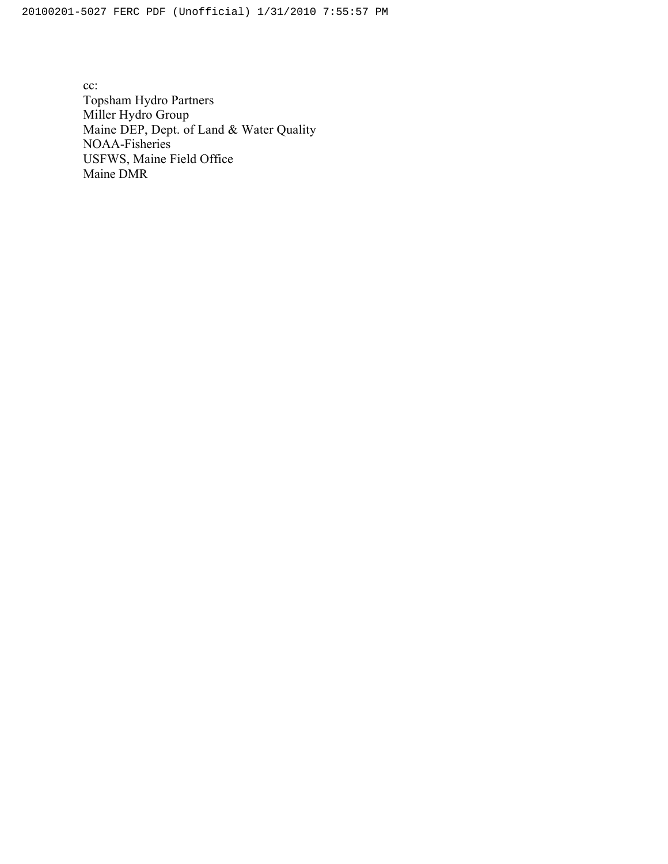cc: Topsham Hydro Partners Miller Hydro Group Maine DEP, Dept. of Land & Water Quality NOAA-Fisheries USFWS, Maine Field Office Maine DMR